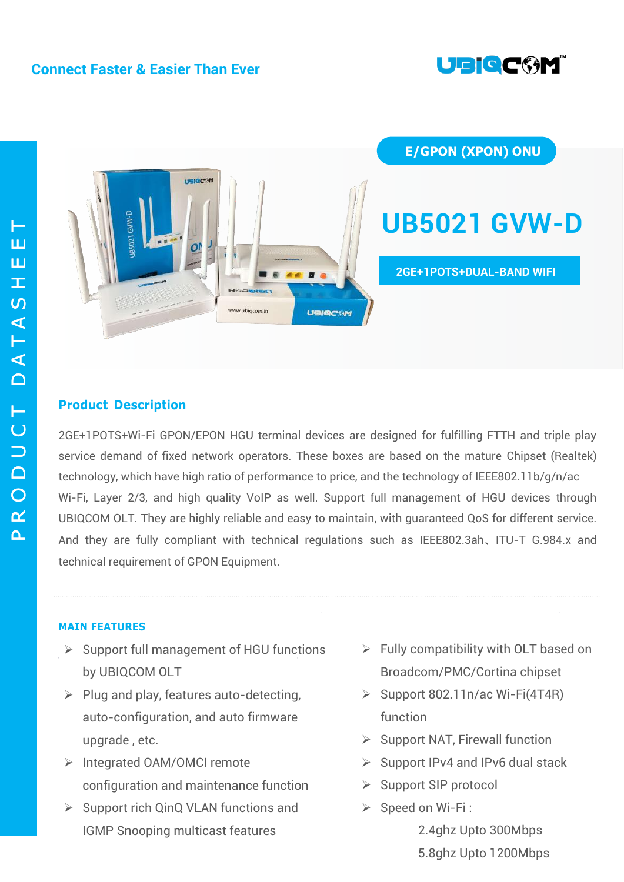



# **Product Description**

2GE+1POTS+Wi-Fi GPON/EPON HGU terminal devices are designed for fulfilling FTTH and triple play service demand of fixed network operators. These boxes are based on the mature Chipset (Realtek) technology, which have high ratio of performance to price, and the technology of IEEE802.11b/g/n/ac Wi-Fi, Layer 2/3, and high quality VoIP as well. Support full management of HGU devices through UBIQCOM OLT. They are highly reliable and easy to maintain, with guaranteed QoS for different service. And they are fully compliant with technical regulations such as IEEE802.3ah、ITU-T G.984.x and technical requirement of GPON Equipment.

# **MAIN FEATURES**

- $\triangleright$  Support full management of HGU functions by UBIQCOM OLT
- $\triangleright$  Plug and play, features auto-detecting, auto-configuration, and auto firmware upgrade , etc.
- > Integrated OAM/OMCI remote configuration and maintenance function
- $\triangleright$  Support rich QinQ VLAN functions and IGMP Snooping multicast features
- $\triangleright$  Fully compatibility with OLT based on Broadcom/PMC/Cortina chipset
- $\triangleright$  Support 802.11n/ac Wi-Fi(4T4R) function
- $\triangleright$  Support NAT, Firewall function
- $\triangleright$  Support IPv4 and IPv6 dual stack
- $\triangleright$  Support SIP protocol
- $\triangleright$  Speed on Wi-Fi :
	- 2.4ghz Upto 300Mbps
	- 5.8ghz Upto 1200Mbps